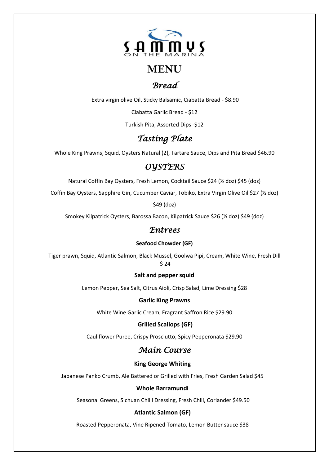

# **MENU**

# *Bread*

Extra virgin olive Oil, Sticky Balsamic, Ciabatta Bread - \$8.90

Ciabatta Garlic Bread - \$12

Turkish Pita, Assorted Dips -\$12

# *Tasting Plate*

Whole King Prawns, Squid, Oysters Natural (2), Tartare Sauce, Dips and Pita Bread \$46.90

# *OYSTERS*

Natural Coffin Bay Oysters, Fresh Lemon, Cocktail Sauce \$24 (½ doz) \$45 (doz)

Coffin Bay Oysters, Sapphire Gin, Cucumber Caviar, Tobiko, Extra Virgin Olive Oil \$27 (½ doz)

\$49 (doz)

Smokey Kilpatrick Oysters, Barossa Bacon, Kilpatrick Sauce \$26 (½ doz) \$49 (doz)

## *Entrees*

## **Seafood Chowder (GF)**

Tiger prawn, Squid, Atlantic Salmon, Black Mussel, Goolwa Pipi, Cream, White Wine, Fresh Dill \$ 24

## **Salt and pepper squid**

Lemon Pepper, Sea Salt, Citrus Aioli, Crisp Salad, Lime Dressing \$28

## **Garlic King Prawns**

White Wine Garlic Cream, Fragrant Saffron Rice \$29.90

## **Grilled Scallops (GF)**

Cauliflower Puree, Crispy Prosciutto, Spicy Pepperonata \$29.90

## *Main Course*

## **King George Whiting**

Japanese Panko Crumb, Ale Battered or Grilled with Fries, Fresh Garden Salad \$45

## **Whole Barramundi**

Seasonal Greens, Sichuan Chilli Dressing, Fresh Chili, Coriander \$49.50

## **Atlantic Salmon (GF)**

Roasted Pepperonata, Vine Ripened Tomato, Lemon Butter sauce \$38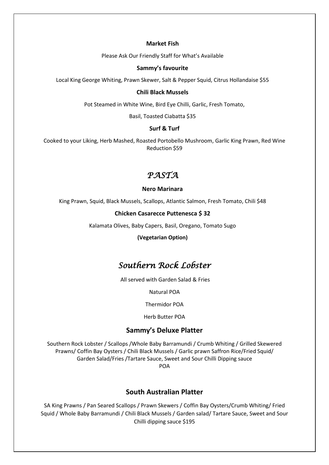#### **Market Fish**

Please Ask Our Friendly Staff for What's Available

#### **Sammy's favourite**

Local King George Whiting, Prawn Skewer, Salt & Pepper Squid, Citrus Hollandaise \$55

#### **Chili Black Mussels**

Pot Steamed in White Wine, Bird Eye Chilli, Garlic, Fresh Tomato,

Basil, Toasted Ciabatta \$35

#### **Surf & Turf**

Cooked to your Liking, Herb Mashed, Roasted Portobello Mushroom, Garlic King Prawn, Red Wine Reduction \$59

## *PASTA*

#### **Nero Marinara**

King Prawn, Squid, Black Mussels, Scallops, Atlantic Salmon, Fresh Tomato, Chili \$48

#### **Chicken Casarecce Puttenesca \$ 32**

Kalamata Olives, Baby Capers, Basil, Oregano, Tomato Sugo

**(Vegetarian Option)**

## *Southern Rock Lobster*

All served with Garden Salad & Fries

Natural POA

Thermidor POA

Herb Butter POA

### **Sammy's Deluxe Platter**

Southern Rock Lobster / Scallops /Whole Baby Barramundi / Crumb Whiting / Grilled Skewered Prawns/ Coffin Bay Oysters / Chili Black Mussels / Garlic prawn Saffron Rice/Fried Squid/ Garden Salad/Fries /Tartare Sauce, Sweet and Sour Chilli Dipping sauce POA

## **South Australian Platter**

SA King Prawns / Pan Seared Scallops / Prawn Skewers / Coffin Bay Oysters/Crumb Whiting/ Fried Squid / Whole Baby Barramundi / Chili Black Mussels / Garden salad/ Tartare Sauce, Sweet and Sour Chilli dipping sauce \$195